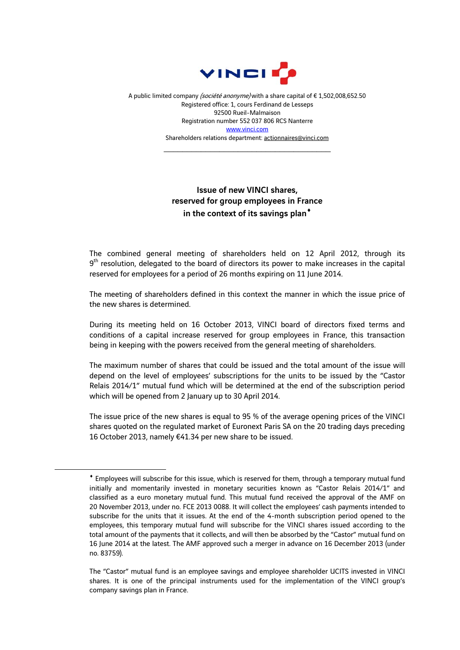

A public limited company (société anonyme) with a share capital of € 1,502,008,652.50 Registered office: 1, cours Ferdinand de Lesseps 92500 Rueil-Malmaison Registration number 552 037 806 RCS Nanterre www.vinci.com Shareholders relations department: actionnaires@vinci.com

\_\_\_\_\_\_\_\_\_\_\_\_\_\_\_\_\_\_\_\_\_\_\_\_\_\_\_\_\_\_\_\_\_\_\_\_

## Issue of new VINCI shares, reserved for group employees in France in the context of its savings plan<sup>\*</sup>

The combined general meeting of shareholders held on 12 April 2012, through its  $9<sup>th</sup>$  resolution, delegated to the board of directors its power to make increases in the capital reserved for employees for a period of 26 months expiring on 11 June 2014.

The meeting of shareholders defined in this context the manner in which the issue price of the new shares is determined.

During its meeting held on 16 October 2013, VINCI board of directors fixed terms and conditions of a capital increase reserved for group employees in France, this transaction being in keeping with the powers received from the general meeting of shareholders.

The maximum number of shares that could be issued and the total amount of the issue will depend on the level of employees' subscriptions for the units to be issued by the "Castor Relais 2014/1" mutual fund which will be determined at the end of the subscription period which will be opened from 2 January up to 30 April 2014.

The issue price of the new shares is equal to 95 % of the average opening prices of the VINCI shares quoted on the regulated market of Euronext Paris SA on the 20 trading days preceding 16 October 2013, namely €41.34 per new share to be issued.

1

Employees will subscribe for this issue, which is reserved for them, through a temporary mutual fund initially and momentarily invested in monetary securities known as "Castor Relais 2014/1" and classified as a euro monetary mutual fund. This mutual fund received the approval of the AMF on 20 November 2013, under no. FCE 2013 0088. It will collect the employees' cash payments intended to subscribe for the units that it issues. At the end of the 4-month subscription period opened to the employees, this temporary mutual fund will subscribe for the VINCI shares issued according to the total amount of the payments that it collects, and will then be absorbed by the "Castor" mutual fund on 16 June 2014 at the latest. The AMF approved such a merger in advance on 16 December 2013 (under no. 83759).

The "Castor" mutual fund is an employee savings and employee shareholder UCITS invested in VINCI shares. It is one of the principal instruments used for the implementation of the VINCI group's company savings plan in France.